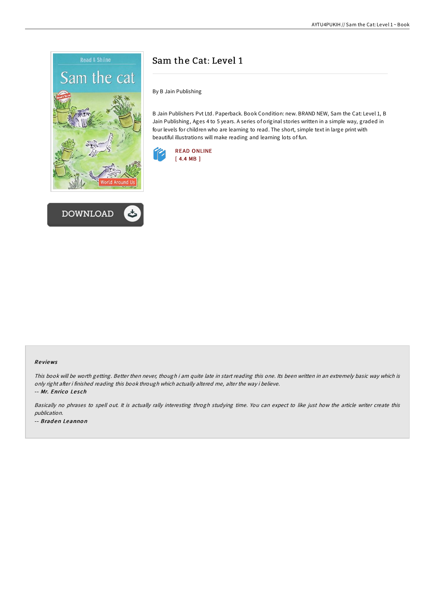



## Sam the Cat: Level 1

By B Jain Publishing

B Jain Publishers Pvt Ltd. Paperback. Book Condition: new. BRAND NEW, Sam the Cat: Level 1, B Jain Publishing, Ages 4 to 5 years. A series of original stories written in a simple way, graded in four levels for children who are learning to read. The short, simple text in large print with beautiful illustrations will make reading and learning lots of fun.



## Re views

This book will be worth getting. Better then never, though i am quite late in start reading this one. Its been written in an extremely basic way which is only right after i finished reading this book through which actually altered me, alter the way i believe.

-- Mr. Enrico Lesch

Basically no phrases to spell out. It is actually rally interesting throgh studying time. You can expect to like just how the article writer create this publication. -- Braden Leannon